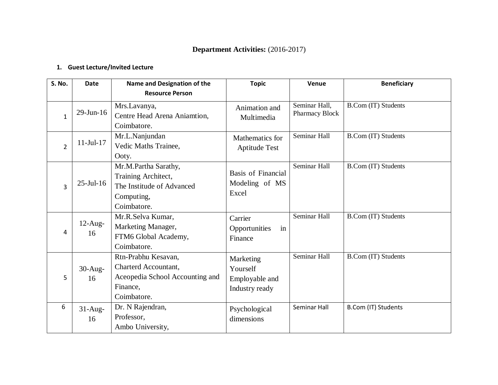# **Department Activities:** (2016-2017)

### **1. Guest Lecture/Invited Lecture**

| S. No.         | <b>Date</b>                                                    | Name and Designation of the<br><b>Resource Person</b>                                                     | <b>Topic</b>                                              | Venue                           | <b>Beneficiary</b>         |
|----------------|----------------------------------------------------------------|-----------------------------------------------------------------------------------------------------------|-----------------------------------------------------------|---------------------------------|----------------------------|
| $\mathbf{1}$   | $29$ -Jun-16                                                   | Mrs.Lavanya,<br>Centre Head Arena Aniamtion,<br>Coimbatore.                                               | Animation and<br>Multimedia                               | Seminar Hall,<br>Pharmacy Block | <b>B.Com (IT) Students</b> |
| $\overline{2}$ | Mr.L.Nanjundan<br>$11-Ju1-17$<br>Vedic Maths Trainee,<br>Ooty. |                                                                                                           | Mathematics for<br><b>Aptitude Test</b>                   | Seminar Hall                    | <b>B.Com (IT) Students</b> |
| $\overline{3}$ | $25$ -Jul-16                                                   | Mr.M.Partha Sarathy,<br>Training Architect,<br>The Institude of Advanced<br>Computing,<br>Coimbatore.     | <b>Basis of Financial</b><br>Modeling of MS<br>Excel      | Seminar Hall                    | <b>B.Com (IT) Students</b> |
| 4              | $12$ -Aug-<br>16                                               | Mr.R.Selva Kumar,<br>Marketing Manager,<br>FTM6 Global Academy,<br>Coimbatore.                            | Carrier<br>in<br>Opportunities<br>Finance                 | Seminar Hall                    | <b>B.Com (IT) Students</b> |
| 5              | $30-Aug-$<br>16                                                | Rtn-Prabhu Kesavan,<br>Charterd Accountant,<br>Aceopedia School Accounting and<br>Finance,<br>Coimbatore. | Marketing<br>Yourself<br>Employable and<br>Industry ready | Seminar Hall                    | <b>B.Com (IT) Students</b> |
| 6              | $31-Aug-$<br>16                                                | Dr. N Rajendran,<br>Professor,<br>Ambo University,                                                        | Psychological<br>dimensions                               | Seminar Hall                    | B.Com (IT) Students        |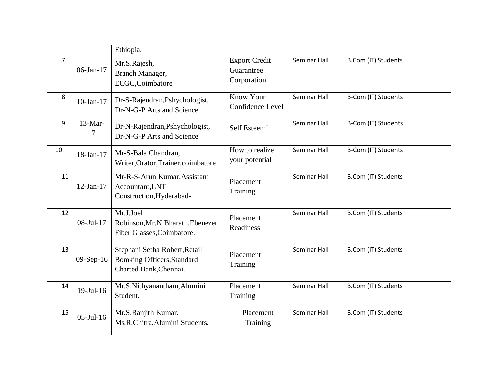|                |                 | Ethiopia.                                                                             |                                                   |              |                     |
|----------------|-----------------|---------------------------------------------------------------------------------------|---------------------------------------------------|--------------|---------------------|
| $\overline{7}$ | $06$ -Jan-17    | Mr.S.Rajesh,<br>Branch Manager,<br>ECGC,Coimbatore                                    | <b>Export Credit</b><br>Guarantree<br>Corporation | Seminar Hall | B.Com (IT) Students |
| 8              | $10$ -Jan- $17$ | Dr-S-Rajendran, Pshychologist,<br>Dr-N-G-P Arts and Science                           | <b>Know Your</b><br>Confidence Level              | Seminar Hall | B-Com (IT) Students |
| 9              | $13-Mar-$<br>17 | Dr-N-Rajendran, Pshychologist,<br>Dr-N-G-P Arts and Science                           | Self Esteem                                       | Seminar Hall | B-Com (IT) Students |
| 10             | 18-Jan-17       | Mr-S-Bala Chandran,<br>Writer, Orator, Trainer, coimbatore                            | How to realize<br>your potential                  | Seminar Hall | B-Com (IT) Students |
| 11             | $12-Jan-17$     | Mr-R-S-Arun Kumar, Assistant<br>Accountant, LNT<br>Construction, Hyderabad-           | Placement<br>Training                             | Seminar Hall | B.Com (IT) Students |
| 12             | 08-Jul-17       | Mr.J.Joel<br>Robinson, Mr.N.Bharath, Ebenezer<br>Fiber Glasses, Coimbatore.           | Placement<br>Readiness                            | Seminar Hall | B.Com (IT) Students |
| 13             | $09-Sep-16$     | Stephani Setha Robert, Retail<br>Bomking Officers, Standard<br>Charted Bank, Chennai. | Placement<br>Training                             | Seminar Hall | B.Com (IT) Students |
| 14             | $19$ -Jul- $16$ | Mr.S.Nithyanantham,Alumini<br>Student.                                                | Placement<br>Training                             | Seminar Hall | B.Com (IT) Students |
| 15             | $05$ -Jul-16    | Mr.S.Ranjith Kumar,<br>Ms.R.Chitra, Alumini Students.                                 | Placement<br>Training                             | Seminar Hall | B.Com (IT) Students |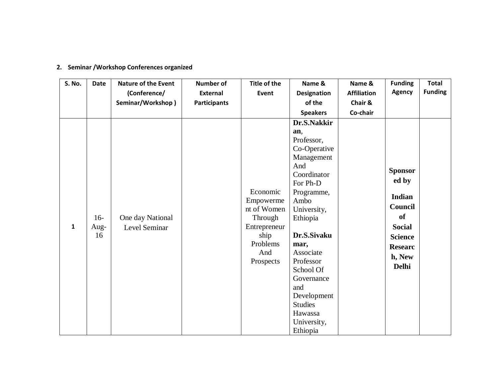| S. No.       | <b>Date</b> | <b>Nature of the Event</b> | <b>Number of</b>    | Title of the    | Name &             | Name &             | <b>Funding</b> | <b>Total</b>   |
|--------------|-------------|----------------------------|---------------------|-----------------|--------------------|--------------------|----------------|----------------|
|              |             | (Conference/               | <b>External</b>     | Event           | <b>Designation</b> | <b>Affiliation</b> | <b>Agency</b>  | <b>Funding</b> |
|              |             | Seminar/Workshop)          | <b>Participants</b> |                 | of the             | Chair &            |                |                |
|              |             |                            |                     |                 | <b>Speakers</b>    | Co-chair           |                |                |
|              |             |                            |                     |                 | Dr.S.Nakkir        |                    |                |                |
|              |             |                            |                     |                 | an,<br>Professor,  |                    |                |                |
|              |             |                            |                     |                 | Co-Operative       |                    |                |                |
|              |             |                            |                     |                 | Management         |                    |                |                |
|              |             |                            | And                 |                 |                    |                    |                |                |
|              |             |                            |                     |                 | Coordinator        |                    | <b>Sponsor</b> |                |
|              |             |                            |                     |                 | For Ph-D           |                    | ed by          |                |
|              |             |                            |                     | Economic        | Programme,         |                    |                |                |
|              |             |                            |                     | Empowerme       | Ambo               |                    | Indian         |                |
|              |             |                            |                     | nt of Women     | University,        |                    | Council        |                |
|              | $16-$       | One day National           |                     | Through         | Ethiopia           |                    | of             |                |
| $\mathbf{1}$ | Aug-        | Level Seminar              |                     | Entrepreneur    |                    |                    | <b>Social</b>  |                |
|              | 16          |                            |                     | ship            | Dr.S.Sivaku        |                    | <b>Science</b> |                |
|              |             |                            |                     | Problems<br>And | mar,<br>Associate  |                    | <b>Researc</b> |                |
|              |             |                            |                     | Prospects       | Professor          |                    | h, New         |                |
|              |             |                            |                     |                 | School Of          |                    | <b>Delhi</b>   |                |
|              |             |                            |                     |                 | Governance         |                    |                |                |
|              |             |                            |                     |                 | and                |                    |                |                |
|              |             |                            |                     |                 | Development        |                    |                |                |
|              |             |                            |                     |                 | <b>Studies</b>     |                    |                |                |
|              |             |                            |                     |                 | Hawassa            |                    |                |                |
|              |             |                            |                     |                 | University,        |                    |                |                |
|              |             |                            |                     |                 | Ethiopia           |                    |                |                |

## **2. Seminar /Workshop Conferences organized**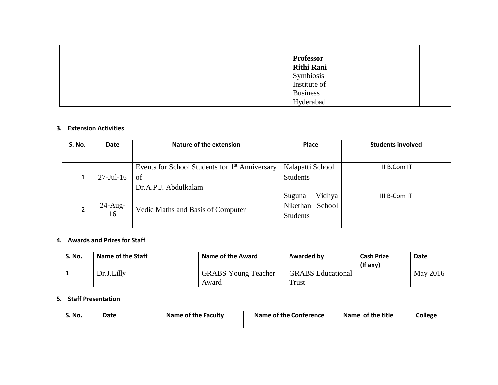|  |  | <b>Professor</b><br><b>Rithi Rani</b><br>Symbiosis<br>Institute of |  |  |
|--|--|--------------------------------------------------------------------|--|--|
|  |  | <b>Business</b>                                                    |  |  |
|  |  | Hyderabad                                                          |  |  |

#### **3. Extension Activities**

| <b>S. No.</b> | Date         | <b>Nature of the extension</b>                             | <b>Place</b>       | <b>Students involved</b> |
|---------------|--------------|------------------------------------------------------------|--------------------|--------------------------|
|               |              |                                                            |                    |                          |
|               |              | Events for School Students for 1 <sup>st</sup> Anniversary | Kalapatti School   | III B.Com IT             |
|               | $27$ -Jul-16 | of                                                         | <b>Students</b>    |                          |
|               |              | Dr.A.P.J. Abdulkalam                                       |                    |                          |
|               |              |                                                            | Vidhya<br>Suguna   | III B-Com IT             |
| 2             | $24$ -Aug-   | Vedic Maths and Basis of Computer                          | School<br>Nikethan |                          |
|               | 16           |                                                            | <b>Students</b>    |                          |
|               |              |                                                            |                    |                          |

#### **4. Awards and Prizes for Staff**

| S. No. | Name of the Staff | <b>Name of the Award</b>            | <b>Awarded by</b>                 | <b>Cash Prize</b><br>$($ lf any $)$ | <b>Date</b> |
|--------|-------------------|-------------------------------------|-----------------------------------|-------------------------------------|-------------|
|        | Dr.J.Lilly        | <b>GRABS</b> Young Teacher<br>Award | <b>GRABS</b> Educational<br>Trust |                                     | May 2016    |
|        |                   |                                     |                                   |                                     |             |

#### **5. Staff Presentation**

| S. No. | Date | Name of the Faculty | Name of the Conference | Name of the title | <b>College</b> |
|--------|------|---------------------|------------------------|-------------------|----------------|
|        |      |                     |                        |                   |                |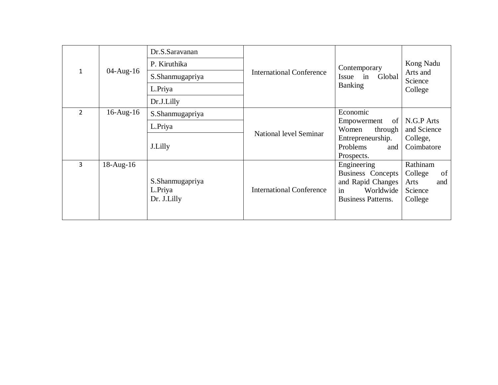|               |                 | Dr.S.Saravanan                            |                                 |                                                                                                       |                                                                |
|---------------|-----------------|-------------------------------------------|---------------------------------|-------------------------------------------------------------------------------------------------------|----------------------------------------------------------------|
|               |                 | P. Kiruthika                              |                                 | Contemporary                                                                                          | Kong Nadu                                                      |
| $\mathbf{1}$  | $04 - Aug-16$   | S.Shanmugapriya                           | <b>International Conference</b> | Issue in<br>Global                                                                                    | Arts and<br>Science                                            |
|               |                 | L.Priya                                   |                                 | <b>Banking</b>                                                                                        | College                                                        |
|               |                 | Dr.J.Lilly                                |                                 |                                                                                                       |                                                                |
| $\mathcal{L}$ | $16$ -Aug- $16$ | S.Shanmugapriya                           |                                 | Economic                                                                                              |                                                                |
|               |                 | L.Priya                                   | National level Seminar          | of  <br>Empowerment<br>Women<br>through                                                               | N.G.P Arts<br>and Science                                      |
|               |                 | J.Lilly                                   |                                 | Entrepreneurship.<br>Problems<br>and                                                                  | College,<br>Coimbatore                                         |
|               |                 |                                           |                                 | Prospects.                                                                                            |                                                                |
| 3             | $18$ -Aug- $16$ | S.Shanmugapriya<br>L.Priya<br>Dr. J.Lilly | <b>International Conference</b> | Engineering<br>Business Concepts<br>and Rapid Changes<br>in<br>Worldwide<br><b>Business Patterns.</b> | Rathinam<br>College<br>of<br>and<br>Arts<br>Science<br>College |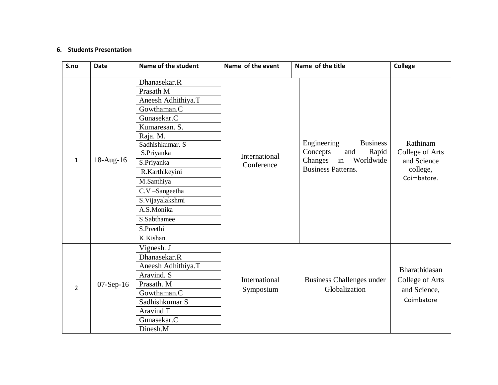#### **6. Students Presentation**

| S.no           | <b>Date</b> | Name of the student                                                                                                                                                                                                                                                                   | Name of the event           | Name of the title                                                                                                     | <b>College</b>                                                        |
|----------------|-------------|---------------------------------------------------------------------------------------------------------------------------------------------------------------------------------------------------------------------------------------------------------------------------------------|-----------------------------|-----------------------------------------------------------------------------------------------------------------------|-----------------------------------------------------------------------|
| $\mathbf{1}$   | 18-Aug-16   | Dhanasekar.R<br>Prasath M<br>Aneesh Adhithiya.T<br>Gowthaman.C<br>Gunasekar.C<br>Kumaresan. S.<br>Raja. M.<br>Sadhishkumar. S<br>S.Priyanka<br>S.Priyanka<br>R.Karthikeyini<br>M.Santhiya<br>C.V-Sangeetha<br>S. Vijayalakshmi<br>A.S.Monika<br>S.Sabthamee<br>S.Preethi<br>K.Kishan. | International<br>Conference | Engineering<br><b>Business</b><br>Concepts<br>Rapid<br>and<br>in<br>Changes<br>Worldwide<br><b>Business Patterns.</b> | Rathinam<br>College of Arts<br>and Science<br>college,<br>Coimbatore. |
| $\overline{2}$ | $07-Sep-16$ | Vignesh. J<br>Dhanasekar.R<br>Aneesh Adhithiya.T<br>Aravind. S<br>Prasath. M<br>Gowthaman.C<br>Sadhishkumar S<br>Aravind T<br>Gunasekar.C<br>Dinesh.M                                                                                                                                 | International<br>Symposium  | Business Challenges under<br>Globalization                                                                            | Bharathidasan<br>College of Arts<br>and Science,<br>Coimbatore        |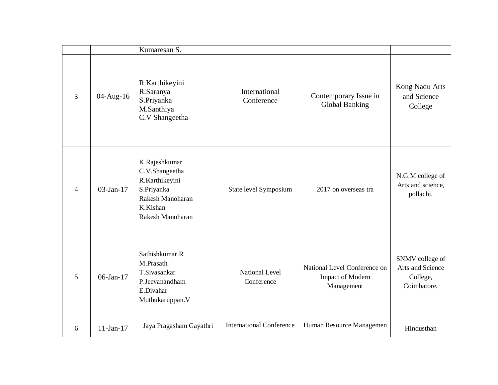|                          |                 | Kumaresan S.                                                                                                        |                                 |                                                                       |                                                                |
|--------------------------|-----------------|---------------------------------------------------------------------------------------------------------------------|---------------------------------|-----------------------------------------------------------------------|----------------------------------------------------------------|
| 3                        | 04-Aug-16       | R.Karthikeyini<br>R.Saranya<br>S.Priyanka<br>M.Santhiya<br>C.V Shangeetha                                           | International<br>Conference     | Contemporary Issue in<br><b>Global Banking</b>                        | Kong Nadu Arts<br>and Science<br>College                       |
| $\overline{\mathcal{A}}$ | $03$ -Jan-17    | K.Rajeshkumar<br>C.V.Shangeetha<br>R.Karthikeyini<br>S.Priyanka<br>Rakesh Manoharan<br>K.Kishan<br>Rakesh Manoharan | State level Symposium           | 2017 on overseas tra                                                  | N.G.M college of<br>Arts and science,<br>pollachi.             |
| 5                        | $06 - Jan - 17$ | Sathishkumar.R<br>M.Prasath<br>T.Sivasankar<br>P.Jeevanandham<br>E.Divahar<br>Muthukaruppan. V                      | National Level<br>Conference    | National Level Conference on<br><b>Impact of Modern</b><br>Management | SNMV college of<br>Arts and Science<br>College,<br>Coimbatore. |
| 6                        | $11-Jan-17$     | Jaya Pragasham Gayathri                                                                                             | <b>International Conference</b> | Human Resource Managemen                                              | Hindusthan                                                     |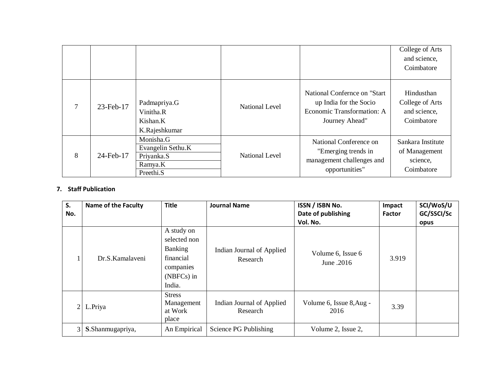|   |           |                                                                      |                       |                                                                                                         | College of Arts<br>and science,<br>Coimbatore                |
|---|-----------|----------------------------------------------------------------------|-----------------------|---------------------------------------------------------------------------------------------------------|--------------------------------------------------------------|
| 7 | 23-Feb-17 | Padmapriya.G<br>Vinitha.R<br>Kishan.K<br>K.Rajeshkumar               | <b>National Level</b> | National Confernce on "Start"<br>up India for the Socio<br>Economic Transformation: A<br>Journey Ahead" | Hindusthan<br>College of Arts<br>and science,<br>Coimbatore  |
| 8 | 24-Feb-17 | Monisha.G<br>Evangelin Sethu.K<br>Priyanka.S<br>Ramya.K<br>Preethi.S | <b>National Level</b> | National Conference on<br>"Emerging trends in<br>management challenges and<br>opportunities"            | Sankara Institute<br>of Management<br>science,<br>Coimbatore |

#### **7. Staff Publication**

| S.             | <b>Name of the Faculty</b> | <b>Title</b>   | <b>Journal Name</b>                   | ISSN / ISBN No.                 | Impact        | SCI/WoS/U  |
|----------------|----------------------------|----------------|---------------------------------------|---------------------------------|---------------|------------|
| No.            |                            |                |                                       | Date of publishing              | <b>Factor</b> | GC/SSCI/Sc |
|                |                            |                |                                       | Vol. No.                        |               | opus       |
|                |                            | A study on     |                                       |                                 |               |            |
|                |                            | selected non   |                                       |                                 |               |            |
|                |                            | <b>Banking</b> | Indian Journal of Applied<br>Research | Volume 6, Issue 6<br>June .2016 | 3.919         |            |
|                | Dr.S. Kamalayeni           | financial      |                                       |                                 |               |            |
|                |                            | companies      |                                       |                                 |               |            |
|                |                            | (NBFCs) in     |                                       |                                 |               |            |
|                |                            | India.         |                                       |                                 |               |            |
|                |                            | <b>Stress</b>  |                                       |                                 |               |            |
| $\overline{2}$ | L.Priya                    | Management     | Indian Journal of Applied             | Volume 6, Issue 8, Aug -        | 3.39          |            |
|                |                            | at Work        | Research                              | 2016                            |               |            |
|                |                            | place          |                                       |                                 |               |            |
| 31             | S.Shanmugapriya,           | An Empirical   | Science PG Publishing                 | Volume 2, Issue 2,              |               |            |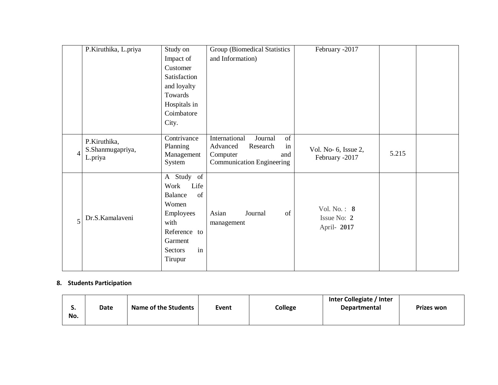|   | P.Kiruthika, L.priya                        | Study on                                                                                                                         | <b>Group (Biomedical Statistics</b>                                                                          | February -2017                            |       |  |
|---|---------------------------------------------|----------------------------------------------------------------------------------------------------------------------------------|--------------------------------------------------------------------------------------------------------------|-------------------------------------------|-------|--|
|   |                                             | Impact of                                                                                                                        | and Information)                                                                                             |                                           |       |  |
|   |                                             | Customer                                                                                                                         |                                                                                                              |                                           |       |  |
|   |                                             | Satisfaction                                                                                                                     |                                                                                                              |                                           |       |  |
|   |                                             | and loyalty                                                                                                                      |                                                                                                              |                                           |       |  |
|   |                                             | Towards                                                                                                                          |                                                                                                              |                                           |       |  |
|   |                                             | Hospitals in                                                                                                                     |                                                                                                              |                                           |       |  |
|   |                                             | Coimbatore                                                                                                                       |                                                                                                              |                                           |       |  |
|   |                                             | City.                                                                                                                            |                                                                                                              |                                           |       |  |
|   |                                             |                                                                                                                                  |                                                                                                              |                                           |       |  |
| 4 | P.Kiruthika,<br>S.Shanmugapriya,<br>L.priya | Contrivance<br>Planning<br>Management<br>System                                                                                  | International<br>of<br>Journal<br>Advanced<br>Research<br>in<br>Computer<br>and<br>Communication Engineering | Vol. No- 6, Issue 2,<br>February -2017    | 5.215 |  |
| 5 | Dr.S.Kamalaveni                             | A Study of<br>Work<br>Life<br>Balance<br>of<br>Women<br>Employees<br>with<br>Reference to<br>Garment<br>in<br>Sectors<br>Tirupur | Asian<br>Journal<br>of<br>management                                                                         | Vol. No.: 8<br>Issue No: 2<br>April- 2017 |       |  |

### **8. Students Participation**

| J.  | Date | <b>Name of the Students</b> | Event | College | Inter Collegiate / Inter<br><b>Departmental</b> | <b>Prizes won</b> |
|-----|------|-----------------------------|-------|---------|-------------------------------------------------|-------------------|
| No. |      |                             |       |         |                                                 |                   |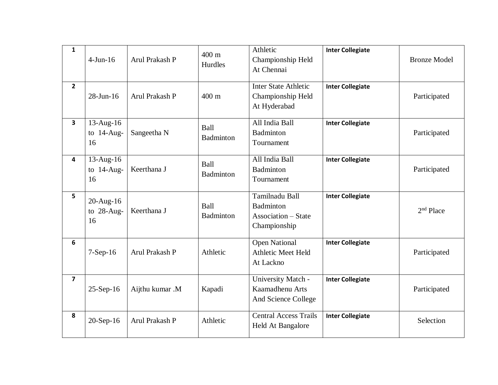| $\mathbf{1}$   | $4-Jun-16$                          | Arul Prakash P  | $400 \text{ m}$<br>Hurdles | Athletic<br>Championship Held<br>At Chennai                               | <b>Inter Collegiate</b> | <b>Bronze Model</b>   |
|----------------|-------------------------------------|-----------------|----------------------------|---------------------------------------------------------------------------|-------------------------|-----------------------|
| $2^{\circ}$    | 28-Jun-16                           | Arul Prakash P  | $400 \text{ m}$            | <b>Inter State Athletic</b><br>Championship Held<br>At Hyderabad          | <b>Inter Collegiate</b> | Participated          |
| 3              | 13-Aug-16<br>to $14$ -Aug-<br>16    | Sangeetha N     | Ball<br>Badminton          | All India Ball<br>Badminton<br>Tournament                                 | <b>Inter Collegiate</b> | Participated          |
| 4              | $13$ -Aug-16<br>to $14$ -Aug-<br>16 | Keerthana J     | Ball<br>Badminton          | All India Ball<br>Badminton<br>Tournament                                 | <b>Inter Collegiate</b> | Participated          |
| 5 <sup>1</sup> | $20$ -Aug-16<br>to 28-Aug-<br>16    | Keerthana J     | Ball<br>Badminton          | Tamilnadu Ball<br>Badminton<br><b>Association – State</b><br>Championship | <b>Inter Collegiate</b> | 2 <sup>nd</sup> Place |
| 6              | $7-Sep-16$                          | Arul Prakash P  | Athletic                   | <b>Open National</b><br><b>Athletic Meet Held</b><br>At Lackno            | <b>Inter Collegiate</b> | Participated          |
| $\overline{7}$ | $25-Sep-16$                         | Aijthu kumar .M | Kapadi                     | University Match -<br>Kaamadhenu Arts<br>And Science College              | <b>Inter Collegiate</b> | Participated          |
| 8              | $20-Sep-16$                         | Arul Prakash P  | Athletic                   | <b>Central Access Trails</b><br><b>Held At Bangalore</b>                  | <b>Inter Collegiate</b> | Selection             |